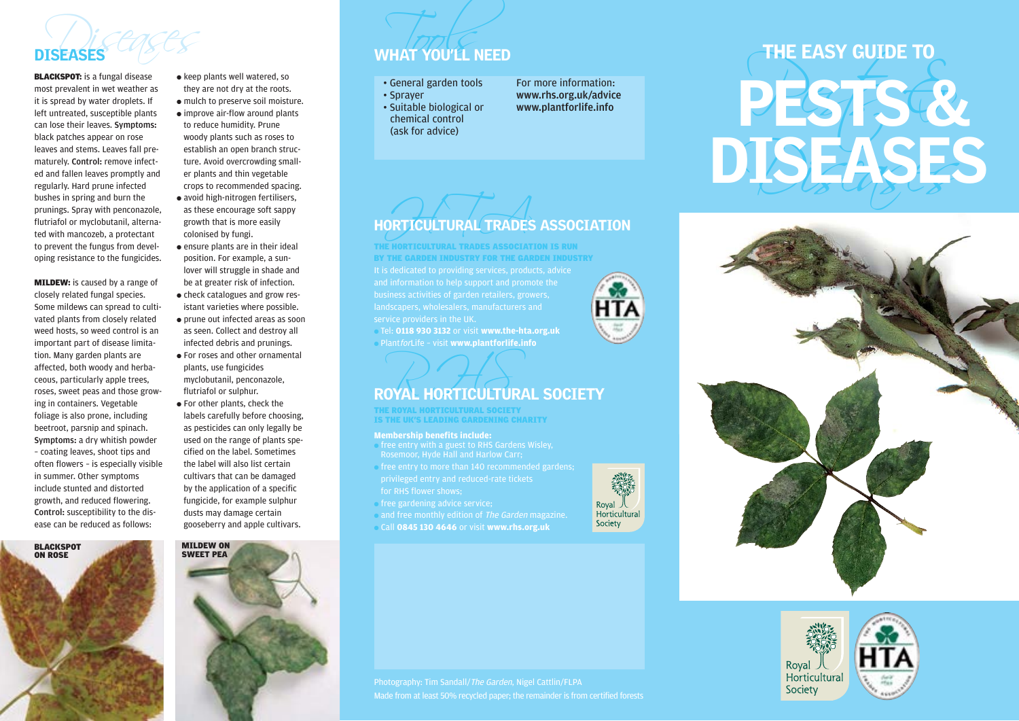## THE SEARCE SEARCH STRAIGHT TO THE SEARCH SEARCH STRAIGHT TO UTEL NEED DISEASES WHAT YOU'LL NEED

**BLACKSPOT:** is a fungal disease most prevalent in wet weather as it is spread by water droplets. If left untreated, susceptible plants can lose their leaves. Symptoms: black patches appear on rose leaves and stems. Leaves fall prematurely. Control: remove infected and fallen leaves promptly and regularly. Hard prune infected bushes in spring and burn the prunings. Spray with penconazole, flutriafol or myclobutanil, alternated with mancozeb, a protectant to prevent the fungus from developing resistance to the fungicides.

**MILDEW:** is caused by a range of closely related fungal species. Some mildews can spread to cultivated plants from closely related weed hosts, so weed control is an important part of disease limitation. Many garden plants are affected, both woody and herbaceous, particularly apple trees, roses, sweet peas and those growing in containers. Vegetable foliage is also prone, including beetroot, parsnip and spinach. Symptoms: a dry whitish powder – coating leaves, shoot tips and often flowers – is especially visible in summer. Other symptoms include stunted and distorted growth, and reduced flowering. Control: susceptibility to the disease can be reduced as follows:



- keep plants well watered, so they are not dry at the roots. ● mulch to preserve soil moisture. ● improve air-flow around plants to reduce humidity. Prune woody plants such as roses to establish an open branch structure. Avoid overcrowding smaller plants and thin vegetable crops to recommended spacing.
- avoid high-nitrogen fertilisers, as these encourage soft sappy growth that is more easily colonised by fungi.
- ensure plants are in their ideal position. For example, a sunlover will struggle in shade and be at greater risk of infection.
- check catalogues and grow resistant varieties where possible.
- prune out infected areas as soon as seen. Collect and destroy all infected debris and prunings.
- For roses and other ornamental plants, use fungicides myclobutanil, penconazole, flutriafol or sulphur.
- For other plants, check the labels carefully before choosing, as pesticides can only legally be used on the range of plants specified on the label. Sometimes the label will also list certain cultivars that can be damaged by the application of a specific fungicide, for example sulphur dusts may damage certain gooseberry and apple cultivars.



- General garden tools
- Sprayer
- Suitable biological or chemical control (ask for advice)
- For more information: www.rhs.org.uk/advice www.plantforlife.info

### ORTICULTURAL TRADES HORTICULTURAL TRADES ASSOCIATION

service providers in the UK. THE HORTICULTURAL TRADES ASSOCIATION IS RUN BY THE GARDEN INDUSTRY FOR THE GARDEN INDUSTRY

● Tel: **0118 930 3132** or visit **www.the-hta.org.uk** ● PlantforLife – visit **www.plantforlife.info**

## ROYAL HORTICULTURAL SOCIETY

THE ROYAL HORTICULTURAL SOCIETY IS THE UK'S LEADING GARDENING CHARITY

### **Membership benefits include:**

- $\overline{\phantom{a}}$  free entry with a guest to RHS Gardens Wisley,
- free entry to more than 140 recommended gardens; for RHS flower shows;
- 
- free gardening advice service:
- and free monthly edition of *The Garden* magazine.
- Call **0845 130 4646** or visit **www.rhs.org.uk**



# THE EASY GUIDE TO PESTS &





Made from at least 50% recycled paper; the remainder is from certified forests

Horticultural